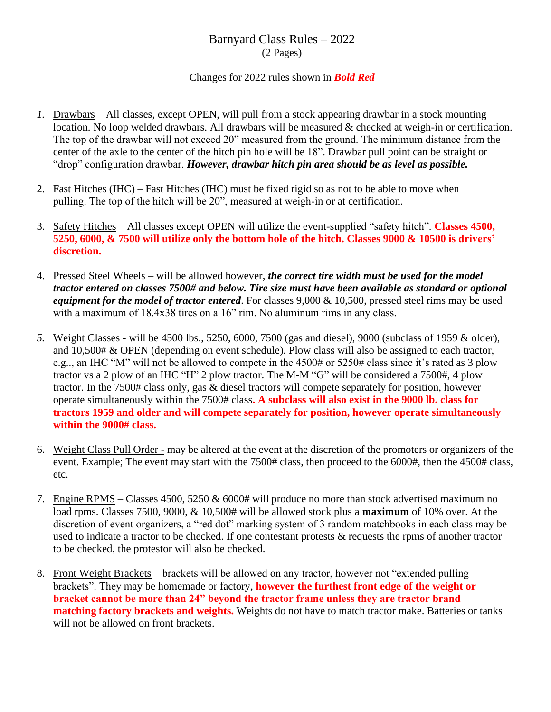## Barnyard Class Rules – 2022

(2 Pages)

## Changes for 2022 rules shown in *Bold Red*

- *1.* Drawbars All classes, except OPEN, will pull from a stock appearing drawbar in a stock mounting location. No loop welded drawbars. All drawbars will be measured & checked at weigh-in or certification. The top of the drawbar will not exceed 20" measured from the ground. The minimum distance from the center of the axle to the center of the hitch pin hole will be 18". Drawbar pull point can be straight or "drop" configuration drawbar. *However, drawbar hitch pin area should be as level as possible.*
- 2. Fast Hitches (IHC) Fast Hitches (IHC) must be fixed rigid so as not to be able to move when pulling. The top of the hitch will be 20", measured at weigh-in or at certification.
- 3. Safety Hitches All classes except OPEN will utilize the event-supplied "safety hitch". **Classes 4500, 5250, 6000, & 7500 will utilize only the bottom hole of the hitch. Classes 9000 & 10500 is drivers' discretion.**
- 4. Pressed Steel Wheels will be allowed however, *the correct tire width must be used for the model tractor entered on classes 7500# and below. Tire size must have been available as standard or optional equipment for the model of tractor entered*. For classes 9,000 & 10,500, pressed steel rims may be used with a maximum of 18.4x38 tires on a 16" rim. No aluminum rims in any class.
- *5.* Weight Classes will be 4500 lbs., 5250, 6000, 7500 (gas and diesel), 9000 (subclass of 1959 & older), and 10,500# & OPEN (depending on event schedule). Plow class will also be assigned to each tractor, e.g.., an IHC "M" will not be allowed to compete in the 4500# or 5250# class since it's rated as 3 plow tractor vs a 2 plow of an IHC "H" 2 plow tractor. The M-M "G" will be considered a 7500#, 4 plow tractor. In the 7500# class only, gas & diesel tractors will compete separately for position, however operate simultaneously within the 7500# class**. A subclass will also exist in the 9000 lb. class for tractors 1959 and older and will compete separately for position, however operate simultaneously within the 9000# class.**
- 6. Weight Class Pull Order may be altered at the event at the discretion of the promoters or organizers of the event. Example; The event may start with the 7500# class, then proceed to the 6000#, then the 4500# class, etc.
- 7. Engine RPMS Classes 4500, 5250 & 6000# will produce no more than stock advertised maximum no load rpms. Classes 7500, 9000, & 10,500# will be allowed stock plus a **maximum** of 10% over. At the discretion of event organizers, a "red dot" marking system of 3 random matchbooks in each class may be used to indicate a tractor to be checked. If one contestant protests & requests the rpms of another tractor to be checked, the protestor will also be checked.
- 8. Front Weight Brackets brackets will be allowed on any tractor, however not "extended pulling brackets". They may be homemade or factory, **however the furthest front edge of the weight or bracket cannot be more than 24" beyond the tractor frame unless they are tractor brand matching factory brackets and weights.** Weights do not have to match tractor make. Batteries or tanks will not be allowed on front brackets.